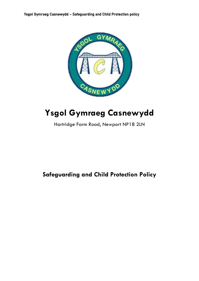

# **Ysgol Gymraeg Casnewydd**

Hartridge Farm Road, Newport NP18 2LN

# **Safeguarding and Child Protection Policy**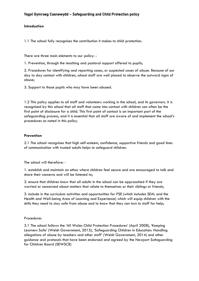# **Introduction**

1.1 The school fully recognises the contribution it makes to child protection.

There are three main elements to our policy: -

1. Prevention, through the teaching and pastoral support offered to pupils;

2. Procedures for identifying and reporting cases, or suspected cases of abuse. Because of our day to day contact with children, school staff are well placed to observe the outward signs of abuse;

3. Support to those pupils who may have been abused.

1.2 This policy applies to all staff and volunteers working in the school, and its governors. It is recognised by this school that all staff that come into contact with children can often be the first point of disclosure for a child. This first point of contact is an important part of the safeguarding process, and it is essential that all staff are aware of and implement the school's procedures as noted in this policy.

# **Prevention**

2.1 The school recognises that high self-esteem, confidence, supportive friends and good lines of communication with trusted adults helps to safeguard children.

The school will therefore: -

1. establish and maintain an ethos where children feel secure and are encouraged to talk and share their concerns and will be listened to;

2. ensure that children know that all adults in the school can be approached if they are worried or concerned about matters that relate to themselves or their siblings or friends;

3. include in the curriculum activities and opportunities for PSE (which includes SEAL and the Health and Well-being Area of Learning and Experience) which will equip children with the skills they need to stay safe from abuse and to know that they can turn to staff for help;

#### Procedures

3.1 The school follows the 'All Wales Child Protection Procedures' (April 2008), 'Keeping Learners Safe' (Welsh Government, 2015), 'Safeguarding Children in Education: Handling allegations of abuse by teachers and other staff' (Welsh Government, 2014) and other guidance and protocols that have been endorsed and agreed by the Newport Safeguarding for Children Board (SEWSCB)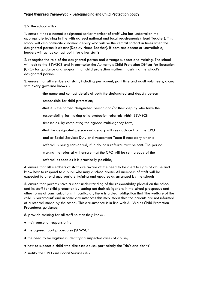3.2 The school will: -

1. ensure it has a named designated senior member of staff who has undertaken the appropriate training in line with agreed national and local requirements (Head Teacher). This school will also nominate a named deputy who will be the central contact in times when the designated person is absent (Deputy Head Teacher). If both are absent or unavailable, leaders will act as contact point for other staff;

2. recognise the role of the designated person and arrange support and training. The school will look to the SEWSCB and in particular the Authority's Child Protection Officer for Education (CPO) for guidance and support in all child protection matters in assisting the school's designated person;

3. ensure that all members of staff, including permanent, part time and adult volunteers, along with every governor knows: -

-the name and contact details of both the designated and deputy person

responsible for child protection;

-that it is the named designated person and/or their deputy who have the

responsibility for making child protection referrals within SEWSCB

timescales, by completing the agreed multi-agency form;

-that the designated person and deputy will seek advice from the CPO

and or Social Services Duty and Assessment Team if necessary when a

referral is being considered; if in doubt a referral must be sent. The person

making the referral will ensure that the CPO will be sent a copy of the

referral as soon as it is practically possible;

4. ensure that all members of staff are aware of the need to be alert to signs of abuse and know how to respond to a pupil who may disclose abuse. All members of staff will be expected to attend appropriate training and updates as arranged by the school;

5. ensure that parents have a clear understanding of the responsibility placed on the school and its staff for child protection by setting out their obligations in the school prospectus and other forms of communications. In particular, there is a clear obligation that 'the welfare of the child is paramount' and in some circumstances this may mean that the parents are not informed of a referral made by the school. This circumstance is in line with All Wales Child Protection Procedures guidance;

6. provide training for all staff so that they know: -

- their personal responsibility;
- the agreed local procedures (SEWSCB);
- the need to be vigilant in identifying suspected cases of abuse;
- how to support a child who discloses abuse, particularly the "do's and don'ts"
- 7. notify the CPO and Social Services if: -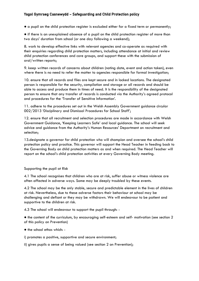● a pupil on the child protection register is excluded either for a fixed term or permanently;

● if there is an unexplained absence of a pupil on the child protection register of more than two days' duration from school (or one day following a weekend);

8. work to develop effective links with relevant agencies and co-operate as required with their enquiries regarding child protection matters, including attendance at initial and review child protection conferences and core groups, and support these with the submission of oral/written reports;

9. keep written records of concerns about children (noting date, event and action taken), even where there is no need to refer the matter to agencies responsible for formal investigation;

10. ensure that all records and files are kept secure and in locked locations. The designated person is responsible for the security, compilation and storage or all records and should be able to access and produce them in times of need. It is the responsibility of the designated person to ensure that any transfer of records is conducted via the Authority's agreed protocol and procedures for the 'Transfer of Sensitive Information'.

11. adhere to the procedures set out in the Welsh Assembly Government guidance circular 002/2013 'Disciplinary and Dismissal Procedures for School Staff';

12. ensure that all recruitment and selection procedures are made in accordance with Welsh Government Guidance, 'Keeping Learners Safe' and local guidance. The school will seek advice and guidance from the Authority's Human Resources' Department on recruitment and selection;

13.designate a governor for child protection who will champion and oversee the school's child protection policy and practice. This governor will support the Head Teacher in feeding back to the Governing Body on child protection matters as and when required. The Head Teacher will report on the school's child protection activities at every Governing Body meeting.

Supporting the pupil at Risk

4.1 The school recognises that children who are at risk, suffer abuse or witness violence are often affected in adverse ways. Some may be deeply troubled by these events.

4.2 The school may be the only stable, secure and predictable element in the lives of children at risk. Nevertheless, due to these adverse factors their behaviour at school may be challenging and defiant or they may be withdrawn. We will endeavour to be patient and supportive to the children at risk.

4.3 The school will endeavour to support the pupil through: -

● the content of the curriculum, by encouraging self-esteem and self- motivation (see section 2 of this policy on Prevention)

- the school ethos which: -
- i) promotes a positive, supportive and secure environment;

ii) gives pupils a sense of being valued (see section 2 on Prevention);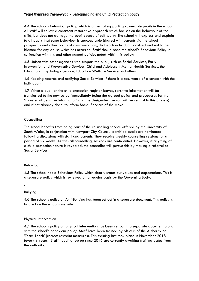4.4 The school's behaviour policy, which is aimed at supporting vulnerable pupils in the school. All staff will follow a consistent restorative approach which focuses on the behaviour of the child, but does not damage the pupil's sense of self-worth. The school will express and explain to all pupils that some behaviour is unacceptable (shared with parents via the school prospectus and other points of communication), that each individual is valued and not to be blamed for any abuse which has occurred. Staff should read the school's Behaviour Policy in conjunction with this and other named policies noted within this policy;

4.5 Liaison with other agencies who support the pupil, such as Social Services, Early Intervention and Preventative Services, Child and Adolescent Mental Health Services, the Educational Psychology Service, Education Welfare Service and others;

4.6 Keeping records and notifying Social Services if there is a recurrence of a concern with the individual;

4.7 When a pupil on the child protection register leaves, sensitive information will be transferred to the new school immediately (using the agreed policy and procedures for the 'Transfer of Sensitive Information' and the designated person will be central to this process) and if not already done, to inform Social Services of the move.

# Counselling

The school benefits from being part of the counselling service offered by the University of South Wales, in conjunction with Newport City Council. Identified pupils are nominated following discussions with staff and parents. They receive weekly counselling sessions for a period of six weeks. As with all counselling, sessions are confidential. However, if anything of a child protection nature is revealed, the counsellor will pursue this by making a referral to Social Services.

#### Behaviour

4.5 The school has a Behaviour Policy which clearly states our values and expectations. This is a separate policy which is reviewed on a regular basis by the Governing Body.

#### Bullying

.

4.6 The school's policy on Anti-Bullying has been set out in a separate document. This policy is located on the school's website.

# Physical Intervention

4.7 The school's policy on physical intervention has been set out in a separate document along with the school's behaviour policy. Staff have been trained by officers of the Authority on 'Team Teach' (correct restraint measures). This training last took place in November 2018 (every 3 years). Staff needing top up since 2016 are currently awaiting training dates from the authority.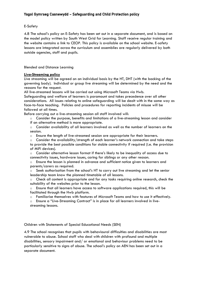# E-Safety

4.8 The school's policy on E-Safety has been set out in a separate document, and is based on the model policy written by South West Grid for Learning. Staff receive regular training and the website contains a link to CEOP. This policy is available on the school website. E-safety lessons are integrated across the curriculum and assemblies are regularly delivered by both outside agencies, staff and pupils.

Blended and Distance Learning

# **Live-Streaming policy**

Live streaming will be agreed on an individual basis by the HT, DHT (with the backing of the governing body). Individual or group live streaming will be determined by the need and the reasons for the request.

All live-streamed lessons will be carried out using Microsoft Teams via Hwb.

Safeguarding and welfare of learners is paramount and takes precedence over all other considerations. All issues relating to online safeguarding will be dealt with in the same way as face-to-face teaching. Policies and procedures for reporting incidents of misuse will be followed at all times.

Before carrying out a live-streaming session all staff involved will:

o Consider the purpose, benefits and limitations of a live-streaming lesson and consider if an alternative method is more appropriate.

 $\circ$  Consider availability of all learners involved as well as the number of learners on the session.

 $\circ$  Ensure the length of live-streamed session are appropriate for their learners.

- $\circ$  Consider the availability/strength of each learner's network connection and take steps
- to provide the best possible conditions for stable connectivity if required (i.e. the provision of MiFi devices).

 $\circ$  Consider alternative lesson format if there's likely to be inequality of access due to connectivity issues, hardware issues, caring for siblings or any other reason.

o Ensure the lesson is planned in advance and sufficient notice given to learners and parents/carers as required.

o Seek authorisation from the school's HT to carry out live streaming and let the senior leadership team know the planned timetable of all lessons.

 $\circ$  Check all content is appropriate and for any tasks requiring online research, check the suitability of the websites prior to the lesson.

 $\circ$  Ensure that all learners have access to software applications required, this will be facilitated through the Hwb platform.

o Familiarise themselves with features of Microsoft Teams and how to use it effectively.

o Ensure a "Live-Streaming Contract" is in place for all learners involved in livestreaming lessons.

Children with Statements of Special Educational Needs (SEN)

4.9 The school recognises that pupils with behavioural difficulties and disabilities are most vulnerable to abuse. School staff who deal with children with profound and multiple disabilities, sensory impairment and/ or emotional and behaviour problems need to be particularly sensitive to signs of abuse. The school's policy on AEN has been set out in a separate document.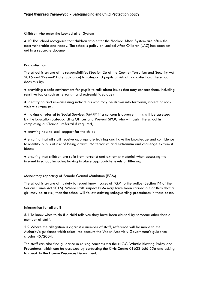#### Children who enter the Looked after System

4.10 The school recognises that children who enter the 'Looked After' System are often the most vulnerable and needy. The school's policy on Looked After Children (LAC) has been set out in a separate document.

# Radicalisation

The school is aware of its responsibilities (Section 26 of the Counter Terrorism and Security Act 2015 and 'Prevent' Duty Guidance) to safeguard pupils at risk of radicalisation. The school does this by:

● providing a safe environment for pupils to talk about issues that may concern them, including sensitive topics such as terrorism and extremist ideology;

● identifying and risk-assessing individuals who may be drawn into terrorism, violent or nonviolent extremism;

● making a referral to Social Services (MARF) if a concern is apparent; this will be assessed by the Education Safeguarding Officer and Prevent SPOC who will assist the school in completing a 'Channel' referral if required;

• knowing how to seek support for the child;

● ensuring that all staff receive appropriate training and have the knowledge and confidence to identify pupils at risk of being drawn into terrorism and extremism and challenge extremist ideas;

● ensuring that children are safe from terrorist and extremist material when accessing the internet in school, including having in place appropriate levels of filtering;

#### Mandatory reporting of Female Genital Mutilation (FGM)

The school is aware of its duty to report known cases of FGM to the police (Section 74 of the Serious Crime Act 2015). Where staff suspect FGM may have been carried out or think that a girl may be at risk, then the school will follow existing safeguarding procedures in these cases.

#### Information for all staff

5.1 To know what to do if a child tells you they have been abused by someone other than a member of staff.

5.2 Where the allegation is against a member of staff, reference will be made to the Authority's guidance which takes into account the Welsh Assembly Government's guidance circular 45/2004.

The staff can also find guidance in raising concerns via the N.C.C. Whistle Blowing Policy and Procedures, which can be accessed by contacting the Civic Centre 01633-656 656 and asking to speak to the Human Resources Department.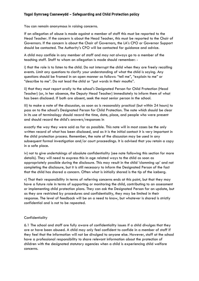You can remain anonymous in raising concerns.

If an allegation of abuse is made against a member of staff this must be reported to the Head Teacher. If the concern is about the Head Teacher, this must be reported to the Chair of Governors. If the concern is about the Chair of Governors, the LA's CPO or Governor Support should be contacted. The Authority's CPO will be contacted for guidance and advice.

A child may confide in any member of staff and may not always go to a member of the teaching staff. Staff to whom an allegation is made should remember: -

i) that the role is to listen to the child. Do not interrupt the child when they are freely recalling events. Limit any questions to clarify your understanding of what the child is saying. Any questions should be framed in an open manner as follows: "tell me", "explain to me" or "describe to me". Do not lead the child or "put words in their mouths".

ii) that they must report orally to the school's Designated Person for Child Protection (Head Teacher) (or, in her absence, the Deputy Head Teacher) immediately to inform them of what has been disclosed. If both are absent, seek the most senior person in the school.

iii) to make a note of the discussion, as soon as is reasonably practical (but within 24 hours) to pass on to the school's Designated Person for Child Protection. The note which should be clear in its use of terminology should record the time, date, place, and people who were present and should record the child's answers/responses in

exactly the way they were said as far as possible. This note will in most cases be the only written record of what has been disclosed, and as it is the initial contact it is very important in the child protection process. Remember, the note of the discussion may be used in any subsequent formal investigation and/or court proceedings. It is advised that you retain a copy in a safe place.

iv) not to give undertakings of absolute confidentiality (see note following this section for more details). They will need to express this in age related ways to the child as soon as appropriately possible during the disclosure. This may result in the child 'clamming up' and not completing the disclosure, but it is still necessary to inform the Designated Person of the fact that the child has shared a concern. Often what is initially shared is the tip of the iceberg.

v) That their responsibility in terms of referring concerns ends at this point, but that they may have a future role in terms of supporting or monitoring the child, contributing to an assessment or implementing child protection plans. They can ask the Designated Person for an update, but as they are restricted by procedures and confidentiality, they may be limited in their response. The level of feedback will be on a need to know, but whatever is shared is strictly confidential and is not to be repeated.

#### **Confidentiality**

6.1 The school and staff are fully aware of confidentiality issues if a child divulges that they are or have been abused. A child may only feel confident to confide in a member of staff if they feel that the information will not be divulged to anyone else. However, staff at the school have a professional responsibility to share relevant information about the protection of children with the designated statutory agencies when a child is experiencing child welfare concerns.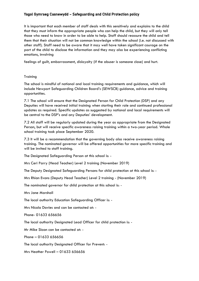It is important that each member of staff deals with this sensitively and explains to the child that they must inform the appropriate people who can help the child, but they will only tell those who need to know in order to be able to help. Staff should reassure the child and tell them that their situation will not be common knowledge within the school (i.e. not discussed with other staff). Staff need to be aware that it may well have taken significant courage on the part of the child to disclose the information and they may also be experiencing conflicting emotions, involving

feelings of guilt, embarrassment, disloyalty (if the abuser is someone close) and hurt.

# **Training**

The school is mindful of national and local training requirements and guidance, which will include Newport Safeguarding Children Board's (SEWSCB) guidance, advice and training opportunities.

7.1 The school will ensure that the Designated Person for Child Protection (DSP) and any Deputies will have received initial training when starting their role and continued professional updates as required. Specific updates as suggested by national and local requirements will be central to the DSP's and any Deputies' development.

7.2 All staff will be regularly updated during the year as appropriate from the Designated Person, but will receive specific awareness raising training within a two-year period. Whole school training took place September 2020.

7.3 It will be a recommendation that the governing body also receive awareness raising training. The nominated governor will be offered opportunities for more specific training and will be invited to staff training.

The Designated Safeguarding Person at this school is: -

Mrs Ceri Parry (Head Teacher) Level 2 training (November 2019)

The Deputy Designated Safeguarding Persons for child protection at this school is: -

Mrs Rhian Evans (Deputy Head Teacher) Level 2 training - (November 2019)

The nominated governor for child protection at this school is: -

Mrs Jane Marshall

The local authority Education Safeguarding Officer is: -

Mrs Nicola Davies and can be contacted at: -

Phone- 01633 656656

The local authority Designated Lead Officer for child protection is: -

Mr Mike Sloan can be contacted at: -

Phone – 01633 656656

The local authority Designated Officer for Prevent: -

Mrs Heather Powell – 01633 656656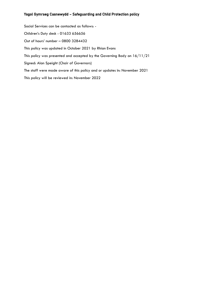Social Services can be contacted as follows: - Children's Duty desk - 01633 656656 Out of hours' number – 0800 3284432 This policy was updated in October 2021 by Rhian Evans This policy was presented and accepted by the Governing Body on 16/11/21 Signed: Alan Speight (Chair of Governors) The staff were made aware of this policy and or updates in: November 2021 This policy will be reviewed in: November 2022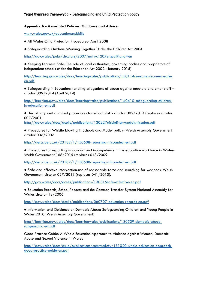# **Appendix A - Associated Policies, Guidance and Advice**

[www.wales.gov.uk/educationandskills](http://dera.ioe.ac.uk/23182/1/150608-reporting-misconduct-en.pdf)

- All Wales Child Protection Procedures- April 2008
- Safeguarding Children: Working Together Under the Children Act 2004

[http://gov.wales/pubs/circulars/2007/nafwc1207en.pdf?lang=en](http://gov.wales/docs/dcells/publications/110209respecten.pdf?lang=en)

● Keeping Learners Safe: The role of local authorities, governing bodies and proprietors of independent schools under the Education Act 2002. (January 2015)

[http://learning.gov.wales/docs/learningwales/publications/150114-keeping-learners-safe](https://www.gov.uk/government/publications/channel-guidance)[en.pdf](https://www.gov.uk/government/publications/channel-guidance)

● Safeguarding in Education: handling allegations of abuse against teachers and other staff – circular 009/2014 (April 2014)

[http://learning.gov.wales/docs/learningwales/publications/140410-safeguarding-children](https://www.gov.uk/government/publications/prevent-duty-guidance)[in-education-en.pdf](https://www.gov.uk/government/publications/prevent-duty-guidance)

● Disciplinary and dismissal procedures for school staff- circular 002/2013 (replaces circular 007/2001)

[http://gov.wales/docs/dcells/publications/130227disciplinaryanddismissalen.pdf](http://www.governorswales.org.uk/)

● Procedures for Whistle blowing in Schools and Model policy- Welsh Assembly Government circular 036/2007

<http://dera.ioe.ac.uk/23182/1/150608-reporting-misconduct-en.pdf>

● Procedures for reporting misconduct and incompetence in the education workforce in Wales-Welsh Government 168/2015 (replaces 018/2009)

[http://dera.ioe.ac.uk/23182/1/150608-reporting-misconduct-en.pdf](http://learning.gov.wales/docs/learningwales/publications/150114-keeping-learners-safe-en.pdf)

● Safe and effective intervention-use of reasonable force and searching for weapons, Welsh Government circular 097/2013 (replaces 041/2010).

[http://gov.wales/docs/dcells/publications/130315safe-effective-en.pdf](http://gov.wales/docs/dcells/publications/160111-respect-and-resilience-update-en.pdf)

● Education Records, School Reports and the Common Transfer System-National Assembly for Wales circular 18/2006

[http://gov.wales/docs/dcells/publications/060707-education-records-en.pdf](http://gov.wales/docs/dcells/publications/130227disciplinaryanddismissalen.pdf)

● Information and Guidance on Domestic Abuse: Safeguarding Children and Young People in Wales 2010 (Welsh Assembly Government)

[http://learning.gov.wales/docs/learningwales/publications/130509-domestic-abuce](http://gov.wales/docs/dcells/publications/160112-respect-and-resilience-self-assessment-tool-en.pdf)[safguarding-en.pdf](http://gov.wales/docs/dcells/publications/160112-respect-and-resilience-self-assessment-tool-en.pdf)

Good Practice Guide: A Whole Education Approach to Violence against Women, Domestic Abuse and Sexual Violence in Wales

[http://gov.wales/docs/dsjlg/publications/commsafety/151020-whole-education-approach](http://gov.wales/docs/dsjlg/publications/commsafety/151020-whole-education-approach-good-practice-guide-en.pdf)[good-practice-guide-en.pdf](http://gov.wales/docs/dsjlg/publications/commsafety/151020-whole-education-approach-good-practice-guide-en.pdf)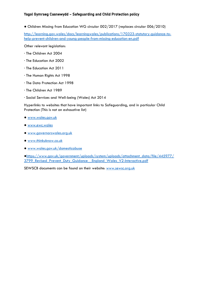● Children Missing from Education WG circular 002/2017 (replaces circular 006/2010)

[http://learning.gov.wales/docs/learningwales/publications/170323-statutory-guidance-to](http://gov.wales/docs/dcells/publications/130315safe-effective-en.pdf)[help-prevent-children-and-young-people-from-missing-education-en.pdf](http://gov.wales/docs/dcells/publications/130315safe-effective-en.pdf)

Other relevant legislation:

- · The Children Act 2004
- · The Education Act 2002
- · The Education Act 2011
- · The Human Rights Act 1998
- · The Data Protection Act 1998
- · The Children Act 1989
- · Social Services and Well-being (Wales) Act 2014

Hyperlinks to websites that have important links to Safeguarding, and in particular Child Protection (This is not an exhaustive list)

- [www.wales.gov.uk](http://learning.gov.wales/docs/learningwales/publications/130509-domestic-abuce-safguarding-en.pdf)
- [www.ewc.wales](http://www.ewc.wales/)
- [www.governorswales.org.uk](http://learning.gov.wales/docs/learningwales/publications/170323-statutory-guidance-to-help-prevent-children-and-young-people-from-missing-education-en.pdf)
- [www.thinkuknow.co.uk](http://learning.gov.wales/docs/learningwales/publications/140410-safeguarding-children-in-education-en.pdf)
- [www.wales.gov.uk/domesticabuse](http://gov.wales/docs/dcells/publications/060707-education-records-en.pdf)

●[https://www.gov.uk/government/uploads/system/uploads/attachment\\_data/file/445977/](http://gov.wales/docs/dsjlg/publications/equality/140512-hate-crime-framework-en.pdf) 3799 Revised Prevent Duty Guidance England Wales V2-Interactive.pdf

SEWSCB documents can be found on their website: [www.sewsc.org.uk](http://www.sewsc.org.uk/)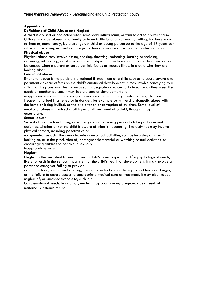# **Appendix B**

# **Definitions of Child Abuse and Neglect**

A child is abused or neglected when somebody inflicts harm, or fails to act to prevent harm. Children may be abused in a family or in an institutional or community setting, by those known to them or, more rarely, by a stranger. A child or young person up to the age of 18 years can suffer abuse or neglect and require protection via an inter-agency child protection plan. **Physical abuse**

Physical abuse may involve hitting, shaking, throwing, poisoning, burning or scalding, drowning, suffocating, or otherwise causing physical harm to a child. Physical harm may also be caused when a parent or caregiver fabricates or induces illness in a child who they are looking after.

#### **Emotional abuse**

Emotional abuse is the persistent emotional ill treatment of a child such as to cause severe and persistent adverse effects on the child's emotional development. It may involve conveying to a child that they are worthless or unloved, inadequate or valued only in so far as they meet the needs of another person. It may feature age or developmentally

inappropriate expectations being imposed on children. It may involve causing children frequently to feel frightened or in danger, for example by witnessing domestic abuse within the home or being bullied, or the exploitation or corruption of children. Some level of emotional abuse is involved in all types of ill treatment of a child, though it may occur alone.

#### **Sexual abuse**

Sexual abuse involves forcing or enticing a child or young person to take part in sexual activities, whether or not the child is aware of what is happening. The activities may involve physical contact, including penetrative or

non-penetrative acts. They may include non-contact activities, such as involving children in looking at, or in the production of, pornographic material or watching sexual activities, or encouraging children to behave in sexually

#### inappropriate ways.

#### **Neglect**

Neglect is the persistent failure to meet a child's basic physical and/or psychological needs, likely to result in the serious impairment of the child's health or development. It may involve a parent or caregiver failing to provide

adequate food, shelter and clothing, failing to protect a child from physical harm or danger, or the failure to ensure access to appropriate medical care or treatment. It may also include neglect of, or unresponsiveness to, a child's

basic emotional needs. In addition, neglect may occur during pregnancy as a result of maternal substance misuse.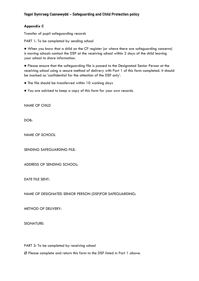# **Appendix C**

Transfer of pupil safeguarding records

PART 1: To be completed by sending school

● When you know that a child on the CP register (or where there are safeguarding concerns) is moving schools contact the DSP at the receiving school within 2 days of the child leaving your school to share information.

● Please ensure that the safeguarding file is passed to the Designated Senior Person at the receiving school using a secure method of delivery with Part 1 of this form completed. It should be marked as 'confidential for the attention of the DSP only'.

- The file should be transferred within 10 working days
- You are advised to keep a copy of this form for your own records.

NAME OF CHILD

DOB-

NAME OF SCHOOL

SENDING SAFEGUARDING FILE:

ADDRESS OF SENDING SCHOOL:

DATE FILE SENT:

NAME OF DESIGNATED SENIOR PERSON (DSP)FOR SAFEGUARDING:

METHOD OF DELIVERY:

SIGNATURE:

PART 2: To be completed by receiving school

Ø Please complete and return this form to the DSP listed in Part 1 above.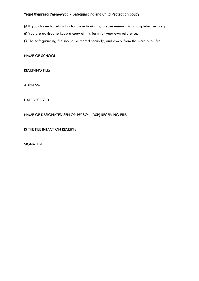- Ø If you choose to return this form electronically, please ensure this is completed securely.
- Ø You are advised to keep a copy of this form for your own reference.
- Ø The safeguarding file should be stored securely, and away from the main pupil file.

NAME OF SCHOOL

RECEIVING FILE:

ADDRESS:

DATE RECEIVED:

NAME OF DESIGNATED SENIOR PERSON (DSP) RECEIVING FILE:

IS THE FILE INTACT ON RECEIPT?

SIGNATURE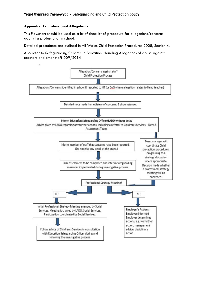# **Appendix D - Professional Allegations**

This Flowchart should be used as a brief checklist of procedure for allegations/concerns against a professional in school.

Detailed procedures are outlined in All Wales Child Protection Procedures 2008, Section 4.

Also refer to Safeguarding Children In Education: Handling Allegations of abuse against teachers and other staff 009/2014

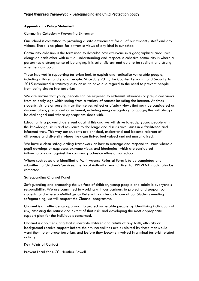# **Appendix E** - **Policy Statement**

Community Cohesion – Preventing Extremism

Our school is committed to providing a safe environment for all of our students, staff and any visitors. There is no place for extremist views of any kind in our school.

Community cohesion is the term used to describe how everyone in a geographical area lives alongside each other with mutual understanding and respect. A cohesive community is where a person has a strong sense of belonging. It is safe, vibrant and able to be resilient and strong when tensions occur.

Those involved in supporting terrorism look to exploit and radicalise vulnerable people, including children and young people. Since July 2015, the Counter Terrorism and Security Act 2015 introduced a statutory duty on us 'to have due regard to the need to prevent people from being drawn into terrorism'

We are aware that young people can be exposed to extremist influences or prejudiced views from an early age which spring from a variety of sources including the internet. At times students, visitors or parents may themselves reflect or display views that may be considered as discriminatory, prejudiced or extremist, including using derogatory language; this will always be challenged and where appropriate dealt with.

Education is a powerful deterrent against this and we will strive to equip young people with the knowledge, skills and resilience to challenge and discuss such issues in a facilitated and informed way. This way our students are enriched, understand and become tolerant of difference and diversity where they can thrive, feel valued and not marginalised.

We have a clear safeguarding framework on how to manage and respond to issues where a pupil develops or expresses extreme views and ideologies, which are considered inflammatory and against the community cohesion ethos of our school.

Where such cases are identified a Multi-Agency Referral Form is to be completed and submitted to Children's Services. The Local Authority Lead Officer for PREVENT should also be contacted.

# Safeguarding Channel Panel

Safeguarding and promoting the welfare of children, young people and adults is everyone's responsibility. We are committed to working with our partners to protect and support our students, and where a Multi-Agency Referral Form leads to one of our Students needing safeguarding, we will support the Channel programme.

Channel is a multi-agency approach to protect vulnerable people by identifying individuals at risk; assessing the nature and extent of that risk; and developing the most appropriate support plan for the individuals concerned.

Channel is about ensuring that vulnerable children and adults of any faith, ethnicity or background receive support before their vulnerabilities are exploited by those that would want them to embrace terrorism, and before they become involved in criminal terrorist related activity.

Key Points of Contact

Prevent Lead for NCC: Heather Powell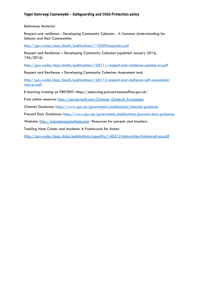# Reference Material

Respect and resilience - Developing Community Cohesion - A Common Understanding for Schools and their Communities

[http://gov.wales/docs/dcells/publications/110209respecten.pdf](http://www.wales.gov.uk/domesticabuse)

Respect and Resilience – Developing Community Cohesion (updated January 2016, 196/2016)

[http://gov.wales/docs/dcells/publications/160111-respect-and-resilience-update-en.pdf](https://www.gov.uk/government/uploads/system/uploads/attachment_data/file/445977/3799_Revised_Prevent_Duty_Guidance__England_Wales_V2-Interactive.pdf)

Respect and Resilience – Developing Community Cohesion: Assessment tool:

[http://gov.wales/docs/dcells/publications/160112-respect-and-resilience-self-assessment](http://course.ncalt.com/Channel_General_Awareness)[tool-en.pdf](http://course.ncalt.com/Channel_General_Awareness)

E-learning training on PREVENT: https://elearning.prevent.homeoffice.gov.uk/

Free online resource: [http://course.ncalt.com/Channel\\_General\\_Awareness](http://www.thinkuknow.co.uk/)

Channel Guidance: [https://www.gov.uk/government/publications/channel-guidance](http://www.wales.gov.uk/)

Prevent Duty Guidance: [https://www.gov.uk/government/publications/prevent-duty-guidance](http://www.wales.gov.uk/educationandskills)

Website: [http://educateagainsthate.com](http://educateagainsthate.com/) Resources for parents and teachers

Tackling Hate Crimes and Incidents: A Framework for Action

[http://gov.wales/docs/dsjlg/publications/equality/140512-hate-crime-framework-en.pdf](http://gov.wales/pubs/circulars/2007/nafwc1207en.pdf)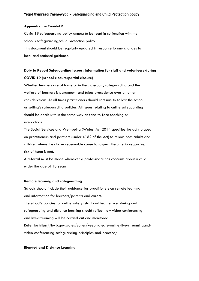#### **Appendix F – Covid-19**

Covid 19 safeguarding policy annex: to be read in conjunction with the school's safeguarding/child protection policy. This document should be regularly updated in response to any changes to local and national guidance.

# **Duty to Report Safeguarding Issues: Information for staff and volunteers during COVID 19 (school closure/partial closure)**

Whether learners are at home or in the classroom, safeguarding and the welfare of learners is paramount and takes precedence over all other considerations. At all times practitioners should continue to follow the school or setting's safeguarding policies. All issues relating to online safeguarding should be dealt with in the same way as face-to-face teaching or interactions.

The Social Services and Well-being (Wales) Act 2014 specifies the duty placed on practitioners and partners (under s.162 of the Act) to report both adults and children where they have reasonable cause to suspect the criteria regarding risk of harm is met.

A referral must be made whenever a professional has concerns about a child under the age of 18 years.

#### **Remote learning and safeguarding**

Schools should include their guidance for practitioners on remote learning and information for learners/parents and carers. The school's policies for online safety; staff and learner well-being and safeguarding and distance learning should reflect how video-conferencing and live-streaming will be carried out and monitored. Refer to: https://hwb.gov.wales/zones/keeping-safe-online/live-streamingandvideo-conferencing-safeguarding-principles-and-practice/

#### **Blended and Distance Learning**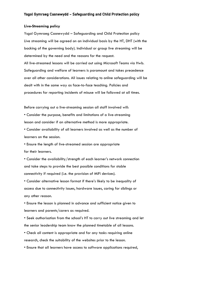#### **Live-Streaming policy**

Ysgol Gymraeg Casnewydd – Safeguarding and Child Protection policy Live streaming will be agreed on an individual basis by the HT, DHT (with the backing of the governing body). Individual or group live streaming will be determined by the need and the reasons for the request. All live-streamed lessons will be carried out using Microsoft Teams via Hwb. Safeguarding and welfare of learners is paramount and takes precedence over all other considerations. All issues relating to online safeguarding will be dealt with in the same way as face-to-face teaching. Policies and procedures for reporting incidents of misuse will be followed at all times.

Before carrying out a live-streaming session all staff involved will:

• Consider the purpose, benefits and limitations of a live-streaming lesson and consider if an alternative method is more appropriate.

• Consider availability of all learners involved as well as the number of learners on the session.

• Ensure the length of live-streamed session are appropriate for their learners.

• Consider the availability/strength of each learner's network connection and take steps to provide the best possible conditions for stable connectivity if required (i.e. the provision of MiFi devices).

• Consider alternative lesson format if there's likely to be inequality of access due to connectivity issues, hardware issues, caring for siblings or any other reason.

• Ensure the lesson is planned in advance and sufficient notice given to learners and parents/carers as required.

• Seek authorisation from the school's HT to carry out live streaming and let the senior leadership team know the planned timetable of all lessons.

• Check all content is appropriate and for any tasks requiring online research, check the suitability of the websites prior to the lesson.

• Ensure that all learners have access to software applications required,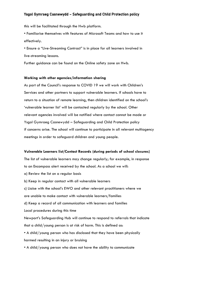this will be facilitated through the Hwb platform.

• Familiarise themselves with features of Microsoft Teams and how to use it effectively.

• Ensure a "Live-Streaming Contract" is in place for all learners involved in live-streaming lessons.

Further guidance can be found on the Online safety zone on Hwb.

#### **Working with other agencies/information sharing**

As part of the Council's response to COVID 19 we will work with Children's Services and other partners to support vulnerable learners. If schools have to return to a situation of remote learning, then children identified on the school's 'vulnerable learner list' will be contacted regularly by the school. Other relevant agencies involved will be notified where contact cannot be made or Ysgol Gymraeg Casnewydd – Safeguarding and Child Protection policy if concerns arise. The school will continue to participate in all relevant multiagency meetings in order to safeguard children and young people.

#### **Vulnerable Learners list/Contact Records (during periods of school closures)**

The list of vulnerable learners may change regularly; for example, in response to an Encompass alert received by the school. As a school we will: a) Review the list on a regular basis b) Keep in regular contact with all vulnerable learners c) Liaise with the school's EWO and other relevant practitioners where we are unable to make contact with vulnerable learners/families d) Keep a record of all communication with learners and families Local procedures during this time Newport's Safeguarding Hub will continue to respond to referrals that indicate that a child/young person is at risk of harm. This is defined as: • A child/young person who has disclosed that they have been physically harmed resulting in an injury or bruising • A child/young person who does not have the ability to communicate